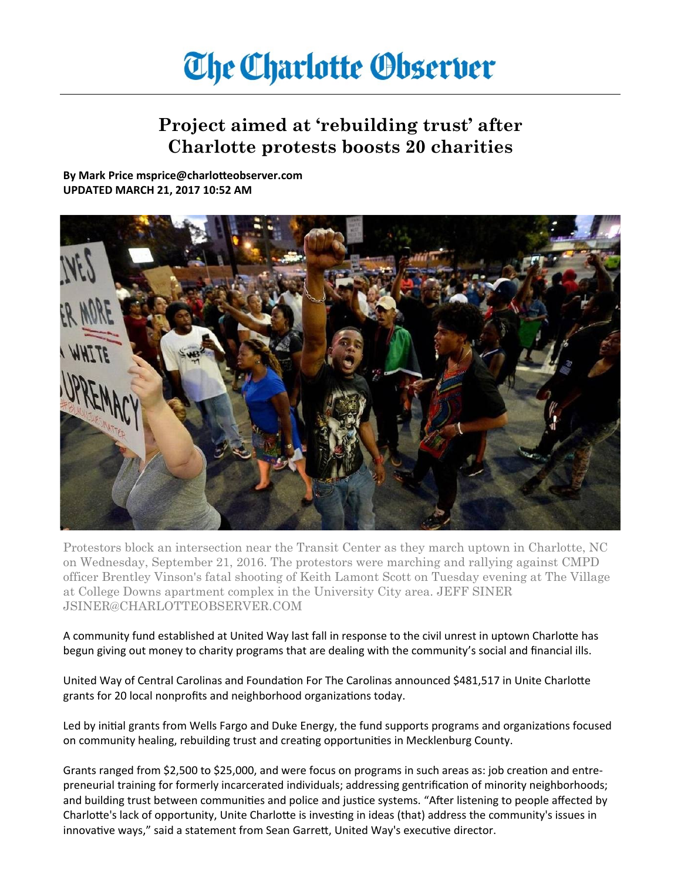## **The Charlotte Observer**

## **Project aimed at 'rebuilding trust' after Charlotte protests boosts 20 charities**

**By Mark Price msprice@charlotteobserver.com UPDATED MARCH 21, 2017 10:52 AM**



Protestors block an intersection near the Transit Center as they march uptown in Charlotte, NC on Wednesday, September 21, 2016. The protestors were marching and rallying against CMPD officer Brentley Vinson's fatal shooting of Keith Lamont Scott on Tuesday evening at The Village at College Downs apartment complex in the University City area. JEFF SINER JSINER@CHARLOTTEOBSERVER.COM

A community fund established at United Way last fall in response to the civil unrest in uptown Charlotte has begun giving out money to charity programs that are dealing with the community's social and financial ills.

United Way of Central Carolinas and Foundation For The Carolinas announced \$481,517 in Unite Charlotte grants for 20 local nonprofits and neighborhood organizations today.

Led by initial grants from Wells Fargo and Duke Energy, the fund supports programs and organizations focused on community healing, rebuilding trust and creating opportunities in Mecklenburg County.

Grants ranged from \$2,500 to \$25,000, and were focus on programs in such areas as: job creation and entrepreneurial training for formerly incarcerated individuals; addressing gentrification of minority neighborhoods; and building trust between communities and police and justice systems. "After listening to people affected by Charlotte's lack of opportunity, Unite Charlotte is investing in ideas (that) address the community's issues in innovative ways," said a statement from Sean Garrett, United Way's executive director.